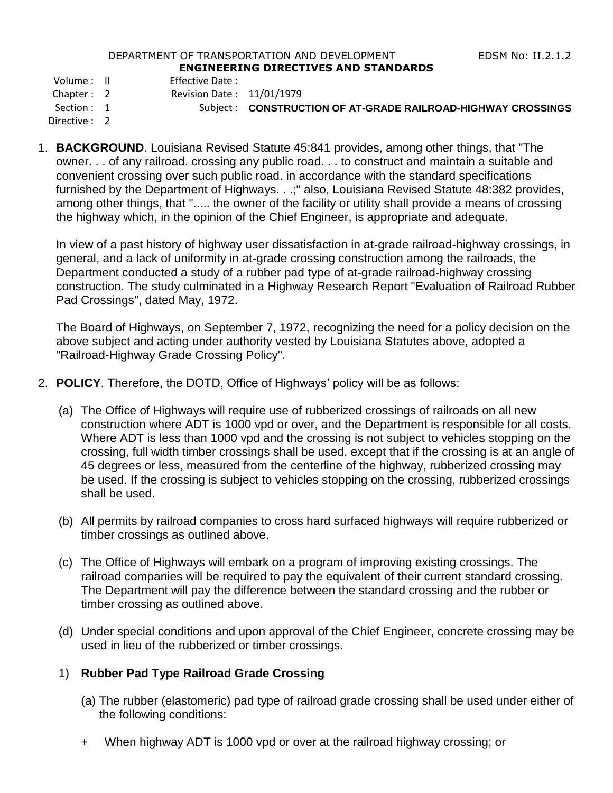#### DEPARTMENT OF TRANSPORTATION AND DEVELOPMENT FOR THE RESS RIGHT RESERVED TO THE RESOLUTION OF THE RESOLUTION OF THE RESOLUTION OF THE RESOLUTION OF THE RESOLUTION OF THE RESOLUTION OF THE RESOLUTION OF THE RESOLUTION OF TH **ENGINEERING DIRECTIVES AND STANDARDS**

Volume : II Effective Date :

Chapter : 2 Revision Date : 11/01/1979

Section : 1 Subject : **CONSTRUCTION OF AT-GRADE RAILROAD-HIGHWAY CROSSINGS** 

Directive : 2

1. **BACKGROUND**. Louisiana Revised Statute 45:841 provides, among other things, that "The owner. . . of any railroad. crossing any public road. . . to construct and maintain a suitable and convenient crossing over such public road. in accordance with the standard specifications furnished by the Department of Highways. . .;" also, Louisiana Revised Statute 48:382 provides, among other things, that "..... the owner of the facility or utility shall provide a means of crossing the highway which, in the opinion of the Chief Engineer, is appropriate and adequate.

In view of a past history of highway user dissatisfaction in at-grade railroad-highway crossings, in general, and a lack of uniformity in at-grade crossing construction among the railroads, the Department conducted a study of a rubber pad type of at-grade railroad-highway crossing construction. The study culminated in a Highway Research Report "Evaluation of Railroad Rubber Pad Crossings", dated May, 1972.

The Board of Highways, on September 7, 1972, recognizing the need for a policy decision on the above subject and acting under authority vested by Louisiana Statutes above, adopted a "Railroad-Highway Grade Crossing Policy".

- 2. **POLICY**. Therefore, the DOTD, Office of Highways' policy will be as follows:
	- (a) The Office of Highways will require use of rubberized crossings of railroads on all new construction where ADT is 1000 vpd or over, and the Department is responsible for all costs. Where ADT is less than 1000 vpd and the crossing is not subject to vehicles stopping on the crossing, full width timber crossings shall be used, except that if the crossing is at an angle of 45 degrees or less, measured from the centerline of the highway, rubberized crossing may be used. If the crossing is subject to vehicles stopping on the crossing, rubberized crossings shall be used.
	- (b) All permits by railroad companies to cross hard surfaced highways will require rubberized or timber crossings as outlined above.
	- (c) The Office of Highways will embark on a program of improving existing crossings. The railroad companies will be required to pay the equivalent of their current standard crossing. The Department will pay the difference between the standard crossing and the rubber or timber crossing as outlined above.
	- (d) Under special conditions and upon approval of the Chief Engineer, concrete crossing may be used in lieu of the rubberized or timber crossings.

## 1) **Rubber Pad Type Railroad Grade Crossing**

- (a) The rubber (elastomeric) pad type of railroad grade crossing shall be used under either of the following conditions:
- + When highway ADT is 1000 vpd or over at the railroad highway crossing; or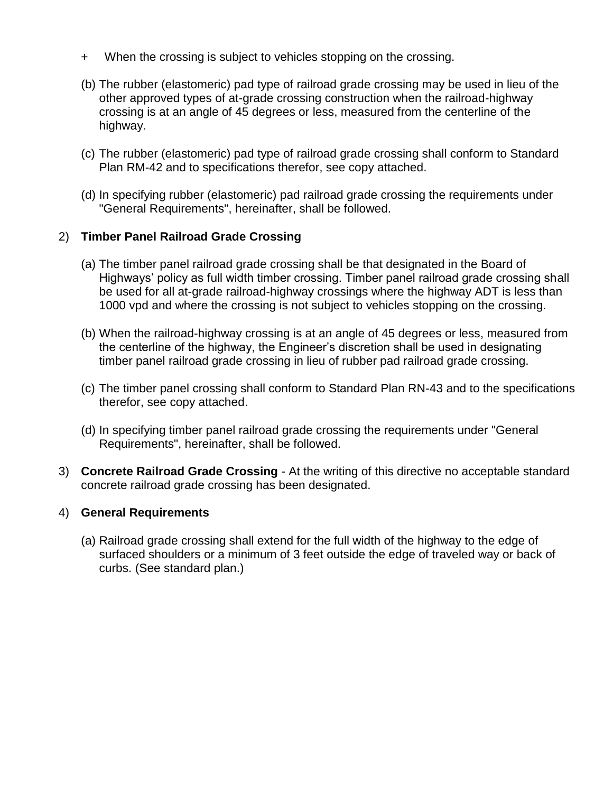- + When the crossing is subject to vehicles stopping on the crossing.
- (b) The rubber (elastomeric) pad type of railroad grade crossing may be used in lieu of the other approved types of at-grade crossing construction when the railroad-highway crossing is at an angle of 45 degrees or less, measured from the centerline of the highway.
- (c) The rubber (elastomeric) pad type of railroad grade crossing shall conform to Standard Plan RM-42 and to specifications therefor, see copy attached.
- (d) In specifying rubber (elastomeric) pad railroad grade crossing the requirements under "General Requirements", hereinafter, shall be followed.

## 2) **Timber Panel Railroad Grade Crossing**

- (a) The timber panel railroad grade crossing shall be that designated in the Board of Highways' policy as full width timber crossing. Timber panel railroad grade crossing shall be used for all at-grade railroad-highway crossings where the highway ADT is less than 1000 vpd and where the crossing is not subject to vehicles stopping on the crossing.
- (b) When the railroad-highway crossing is at an angle of 45 degrees or less, measured from the centerline of the highway, the Engineer's discretion shall be used in designating timber panel railroad grade crossing in lieu of rubber pad railroad grade crossing.
- (c) The timber panel crossing shall conform to Standard Plan RN-43 and to the specifications therefor, see copy attached.
- (d) In specifying timber panel railroad grade crossing the requirements under "General Requirements", hereinafter, shall be followed.
- 3) **Concrete Railroad Grade Crossing** At the writing of this directive no acceptable standard concrete railroad grade crossing has been designated.

### 4) **General Requirements**

(a) Railroad grade crossing shall extend for the full width of the highway to the edge of surfaced shoulders or a minimum of 3 feet outside the edge of traveled way or back of curbs. (See standard plan.)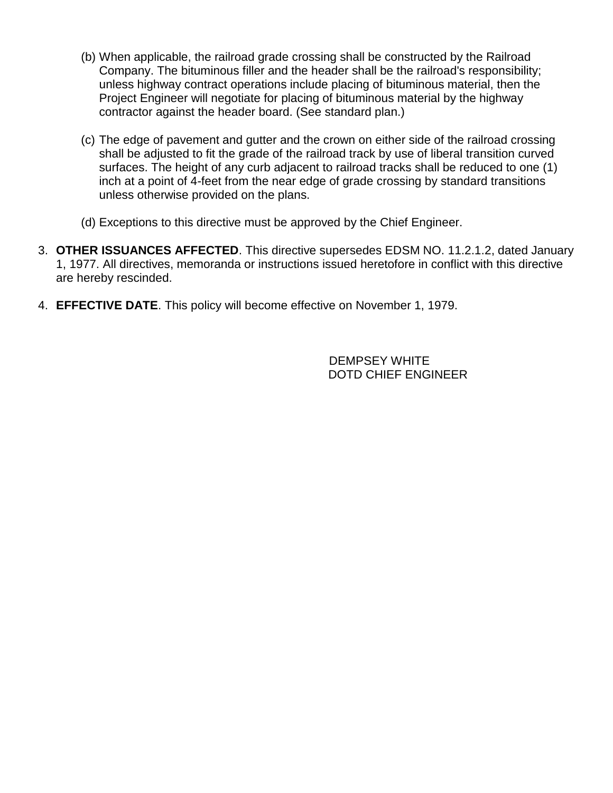- (b) When applicable, the railroad grade crossing shall be constructed by the Railroad Company. The bituminous filler and the header shall be the railroad's responsibility; unless highway contract operations include placing of bituminous material, then the Project Engineer will negotiate for placing of bituminous material by the highway contractor against the header board. (See standard plan.)
- (c) The edge of pavement and gutter and the crown on either side of the railroad crossing shall be adjusted to fit the grade of the railroad track by use of liberal transition curved surfaces. The height of any curb adjacent to railroad tracks shall be reduced to one (1) inch at a point of 4-feet from the near edge of grade crossing by standard transitions unless otherwise provided on the plans.
- (d) Exceptions to this directive must be approved by the Chief Engineer.
- 3. **OTHER ISSUANCES AFFECTED**. This directive supersedes EDSM NO. 11.2.1.2, dated January 1, 1977. All directives, memoranda or instructions issued heretofore in conflict with this directive are hereby rescinded.
- 4. **EFFECTIVE DATE**. This policy will become effective on November 1, 1979.

DEMPSEY WHITE DOTD CHIEF ENGINEER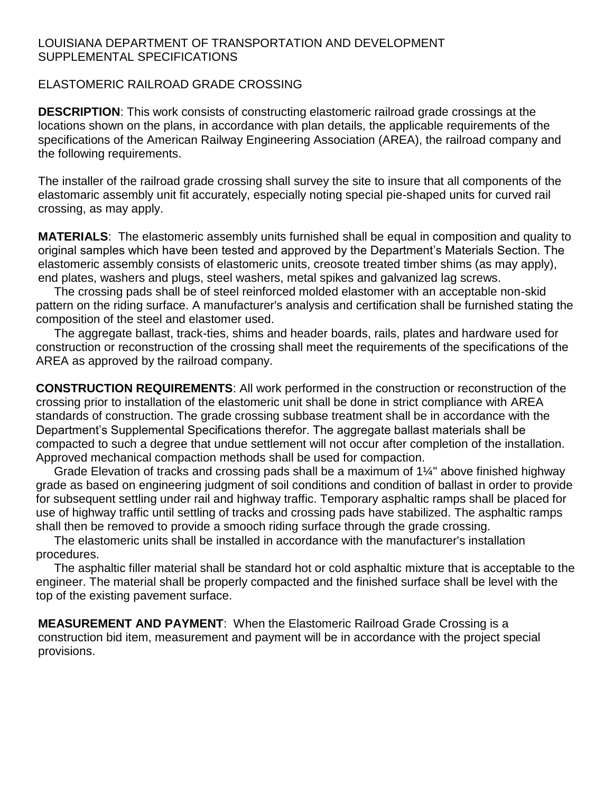## LOUISIANA DEPARTMENT OF TRANSPORTATION AND DEVELOPMENT SUPPLEMENTAL SPECIFICATIONS

## ELASTOMERIC RAILROAD GRADE CROSSING

**DESCRIPTION**: This work consists of constructing elastomeric railroad grade crossings at the locations shown on the plans, in accordance with plan details, the applicable requirements of the specifications of the American Railway Engineering Association (AREA), the railroad company and the following requirements.

The installer of the railroad grade crossing shall survey the site to insure that all components of the elastomaric assembly unit fit accurately, especially noting special pie-shaped units for curved rail crossing, as may apply.

**MATERIALS**: The elastomeric assembly units furnished shall be equal in composition and quality to original samples which have been tested and approved by the Department's Materials Section. The elastomeric assembly consists of elastomeric units, creosote treated timber shims (as may apply), end plates, washers and plugs, steel washers, metal spikes and galvanized lag screws.

The crossing pads shall be of steel reinforced molded elastomer with an acceptable non-skid pattern on the riding surface. A manufacturer's analysis and certification shall be furnished stating the composition of the steel and elastomer used.

The aggregate ballast, track-ties, shims and header boards, rails, plates and hardware used for construction or reconstruction of the crossing shall meet the requirements of the specifications of the AREA as approved by the railroad company.

**CONSTRUCTION REQUIREMENTS**: All work performed in the construction or reconstruction of the crossing prior to installation of the elastomeric unit shall be done in strict compliance with AREA standards of construction. The grade crossing subbase treatment shall be in accordance with the Department's Supplemental Specifications therefor. The aggregate ballast materials shall be compacted to such a degree that undue settlement will not occur after completion of the installation. Approved mechanical compaction methods shall be used for compaction.

Grade Elevation of tracks and crossing pads shall be a maximum of 1¼" above finished highway grade as based on engineering judgment of soil conditions and condition of ballast in order to provide for subsequent settling under rail and highway traffic. Temporary asphaltic ramps shall be placed for use of highway traffic until settling of tracks and crossing pads have stabilized. The asphaltic ramps shall then be removed to provide a smooch riding surface through the grade crossing.

The elastomeric units shall be installed in accordance with the manufacturer's installation procedures.

The asphaltic filler material shall be standard hot or cold asphaltic mixture that is acceptable to the engineer. The material shall be properly compacted and the finished surface shall be level with the top of the existing pavement surface.

**MEASUREMENT AND PAYMENT**: When the Elastomeric Railroad Grade Crossing is a construction bid item, measurement and payment will be in accordance with the project special provisions.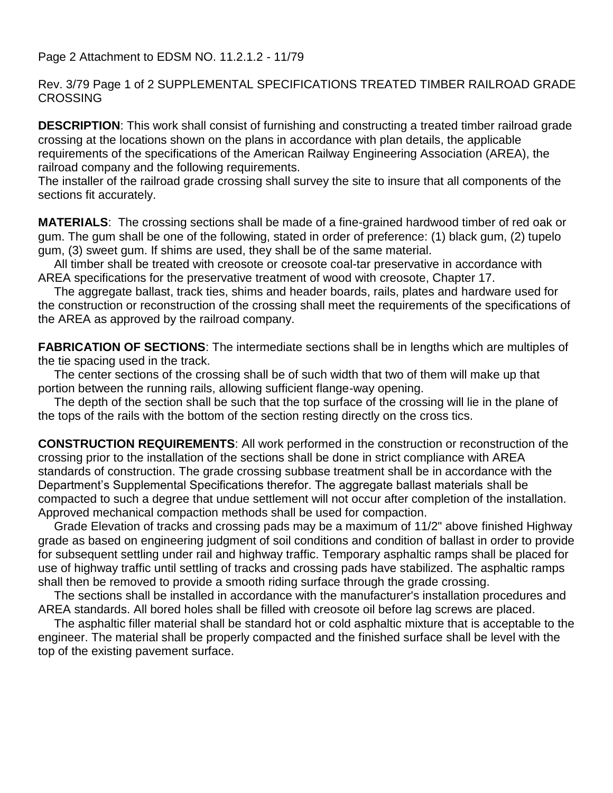Page 2 Attachment to EDSM NO. 11.2.1.2 - 11/79

Rev. 3/79 Page 1 of 2 SUPPLEMENTAL SPECIFICATIONS TREATED TIMBER RAILROAD GRADE **CROSSING** 

**DESCRIPTION**: This work shall consist of furnishing and constructing a treated timber railroad grade crossing at the locations shown on the plans in accordance with plan details, the applicable requirements of the specifications of the American Railway Engineering Association (AREA), the railroad company and the following requirements.

The installer of the railroad grade crossing shall survey the site to insure that all components of the sections fit accurately.

**MATERIALS**: The crossing sections shall be made of a fine-grained hardwood timber of red oak or gum. The gum shall be one of the following, stated in order of preference: (1) black gum, (2) tupelo gum, (3) sweet gum. If shims are used, they shall be of the same material.

All timber shall be treated with creosote or creosote coal-tar preservative in accordance with AREA specifications for the preservative treatment of wood with creosote, Chapter 17.

The aggregate ballast, track ties, shims and header boards, rails, plates and hardware used for the construction or reconstruction of the crossing shall meet the requirements of the specifications of the AREA as approved by the railroad company.

**FABRICATION OF SECTIONS:** The intermediate sections shall be in lengths which are multiples of the tie spacing used in the track.

The center sections of the crossing shall be of such width that two of them will make up that portion between the running rails, allowing sufficient flange-way opening.

The depth of the section shall be such that the top surface of the crossing will lie in the plane of the tops of the rails with the bottom of the section resting directly on the cross tics.

**CONSTRUCTION REQUIREMENTS**: All work performed in the construction or reconstruction of the crossing prior to the installation of the sections shall be done in strict compliance with AREA standards of construction. The grade crossing subbase treatment shall be in accordance with the Department's Supplemental Specifications therefor. The aggregate ballast materials shall be compacted to such a degree that undue settlement will not occur after completion of the installation. Approved mechanical compaction methods shall be used for compaction.

Grade Elevation of tracks and crossing pads may be a maximum of 11/2" above finished Highway grade as based on engineering judgment of soil conditions and condition of ballast in order to provide for subsequent settling under rail and highway traffic. Temporary asphaltic ramps shall be placed for use of highway traffic until settling of tracks and crossing pads have stabilized. The asphaltic ramps shall then be removed to provide a smooth riding surface through the grade crossing.

The sections shall be installed in accordance with the manufacturer's installation procedures and AREA standards. All bored holes shall be filled with creosote oil before lag screws are placed.

The asphaltic filler material shall be standard hot or cold asphaltic mixture that is acceptable to the engineer. The material shall be properly compacted and the finished surface shall be level with the top of the existing pavement surface.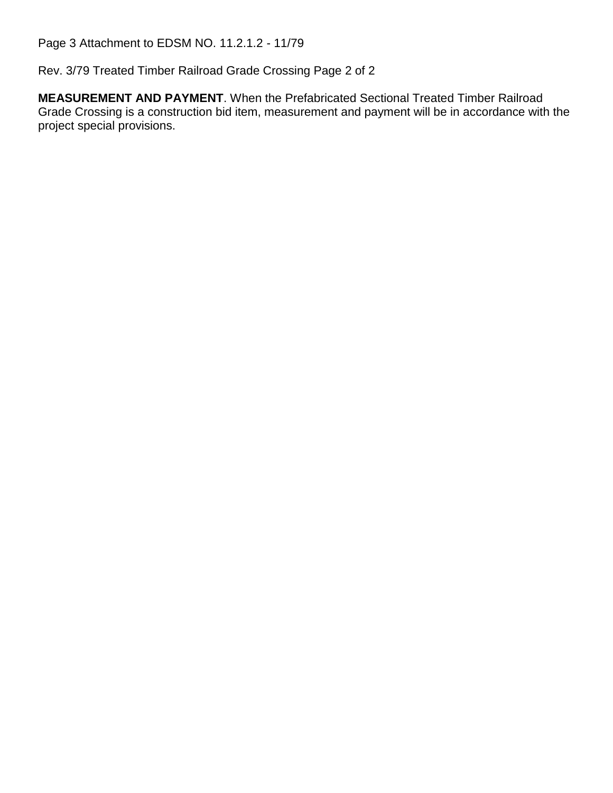Page 3 Attachment to EDSM NO. 11.2.1.2 - 11/79

Rev. 3/79 Treated Timber Railroad Grade Crossing Page 2 of 2

**MEASUREMENT AND PAYMENT**. When the Prefabricated Sectional Treated Timber Railroad Grade Crossing is a construction bid item, measurement and payment will be in accordance with the project special provisions.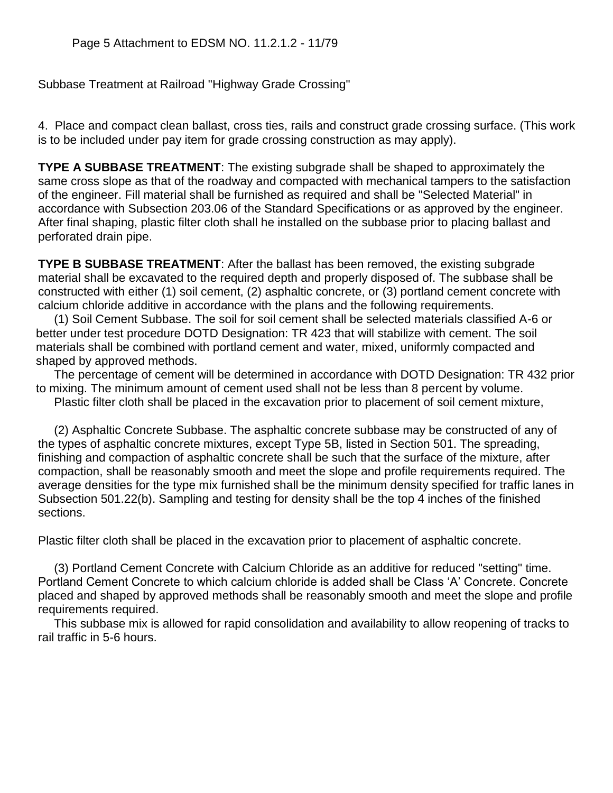Subbase Treatment at Railroad "Highway Grade Crossing"

4. Place and compact clean ballast, cross ties, rails and construct grade crossing surface. (This work is to be included under pay item for grade crossing construction as may apply).

**TYPE A SUBBASE TREATMENT**: The existing subgrade shall be shaped to approximately the same cross slope as that of the roadway and compacted with mechanical tampers to the satisfaction of the engineer. Fill material shall be furnished as required and shall be "Selected Material" in accordance with Subsection 203.06 of the Standard Specifications or as approved by the engineer. After final shaping, plastic filter cloth shall he installed on the subbase prior to placing ballast and perforated drain pipe.

**TYPE B SUBBASE TREATMENT**: After the ballast has been removed, the existing subgrade material shall be excavated to the required depth and properly disposed of. The subbase shall be constructed with either (1) soil cement, (2) asphaltic concrete, or (3) portland cement concrete with calcium chloride additive in accordance with the plans and the following requirements.

(1) Soil Cement Subbase. The soil for soil cement shall be selected materials classified A-6 or better under test procedure DOTD Designation: TR 423 that will stabilize with cement. The soil materials shall be combined with portland cement and water, mixed, uniformly compacted and shaped by approved methods.

The percentage of cement will be determined in accordance with DOTD Designation: TR 432 prior to mixing. The minimum amount of cement used shall not be less than 8 percent by volume.

Plastic filter cloth shall be placed in the excavation prior to placement of soil cement mixture,

(2) Asphaltic Concrete Subbase. The asphaltic concrete subbase may be constructed of any of the types of asphaltic concrete mixtures, except Type 5B, listed in Section 501. The spreading, finishing and compaction of asphaltic concrete shall be such that the surface of the mixture, after compaction, shall be reasonably smooth and meet the slope and profile requirements required. The average densities for the type mix furnished shall be the minimum density specified for traffic lanes in Subsection 501.22(b). Sampling and testing for density shall be the top 4 inches of the finished sections.

Plastic filter cloth shall be placed in the excavation prior to placement of asphaltic concrete.

(3) Portland Cement Concrete with Calcium Chloride as an additive for reduced "setting" time. Portland Cement Concrete to which calcium chloride is added shall be Class 'A' Concrete. Concrete placed and shaped by approved methods shall be reasonably smooth and meet the slope and profile requirements required.

This subbase mix is allowed for rapid consolidation and availability to allow reopening of tracks to rail traffic in 5-6 hours.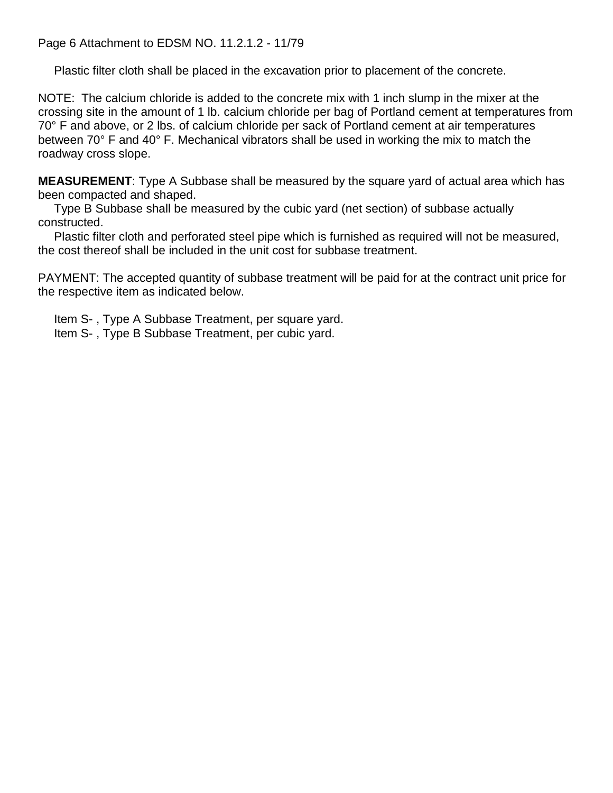Page 6 Attachment to EDSM NO. 11.2.1.2 - 11/79

Plastic filter cloth shall be placed in the excavation prior to placement of the concrete.

NOTE: The calcium chloride is added to the concrete mix with 1 inch slump in the mixer at the crossing site in the amount of 1 lb. calcium chloride per bag of Portland cement at temperatures from 70° F and above, or 2 lbs. of calcium chloride per sack of Portland cement at air temperatures between 70° F and 40° F. Mechanical vibrators shall be used in working the mix to match the roadway cross slope.

**MEASUREMENT**: Type A Subbase shall be measured by the square yard of actual area which has been compacted and shaped.

Type B Subbase shall be measured by the cubic yard (net section) of subbase actually constructed.

Plastic filter cloth and perforated steel pipe which is furnished as required will not be measured, the cost thereof shall be included in the unit cost for subbase treatment.

PAYMENT: The accepted quantity of subbase treatment will be paid for at the contract unit price for the respective item as indicated below.

Item S- , Type A Subbase Treatment, per square yard. Item S- , Type B Subbase Treatment, per cubic yard.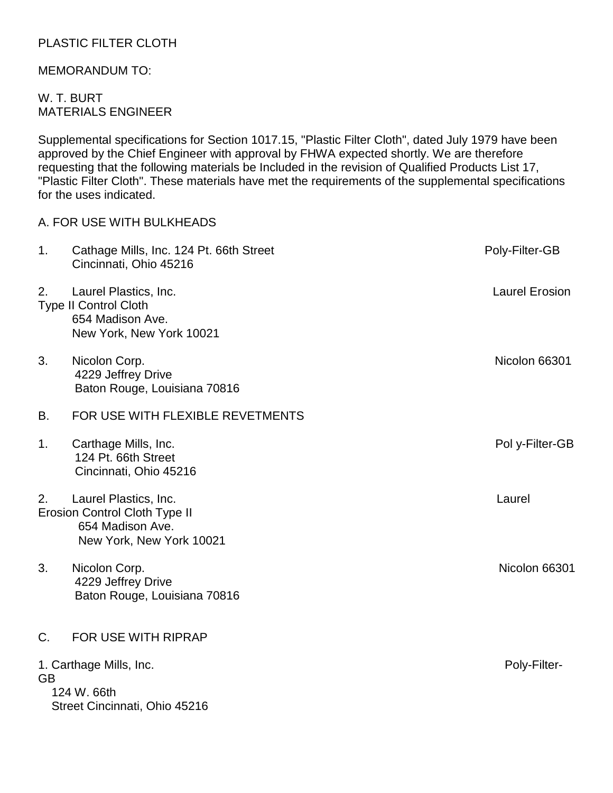# PLASTIC FILTER CLOTH

## MEMORANDUM TO:

## W. T. BURT MATERIALS ENGINEER

Supplemental specifications for Section 1017.15, "Plastic Filter Cloth", dated July 1979 have been approved by the Chief Engineer with approval by FHWA expected shortly. We are therefore requesting that the following materials be Included in the revision of Qualified Products List 17, "Plastic Filter Cloth". These materials have met the requirements of the supplemental specifications for the uses indicated.

# A. FOR USE WITH BULKHEADS 1. Cathage Mills, Inc. 124 Pt. 66th Street **Poly-Filter-GB** Cincinnati, Ohio 45216 2. Laurel Plastics, Inc. Laurel Erosion Type II Control Cloth 654 Madison Ave. New York, New York 10021 3. Nicolon Corp. Nicolon 66301 4229 Jeffrey Drive Baton Rouge, Louisiana 70816 B. FOR USE WITH FLEXIBLE REVETMENTS 1. Carthage Mills, Inc. **Poly-Filter-GB**  124 Pt. 66th Street Cincinnati, Ohio 45216 2. Laurel Plastics, Inc. **Laurel Plastics**, Inc. **Laurel** 2. Laurel 2. Laurel 2. Laurel 2. Laurel 2. Laurel 2. Laurel Erosion Control Cloth Type II 654 Madison Ave. New York, New York 10021 3. Nicolon Corp. Nicolon 66301 4229 Jeffrey Drive Baton Rouge, Louisiana 70816 C. FOR USE WITH RIPRAP 1. Carthage Mills, Inc. **Poly-Filter- Poly-Filter- Poly-Filter-**GB 124 W. 66th Street Cincinnati, Ohio 45216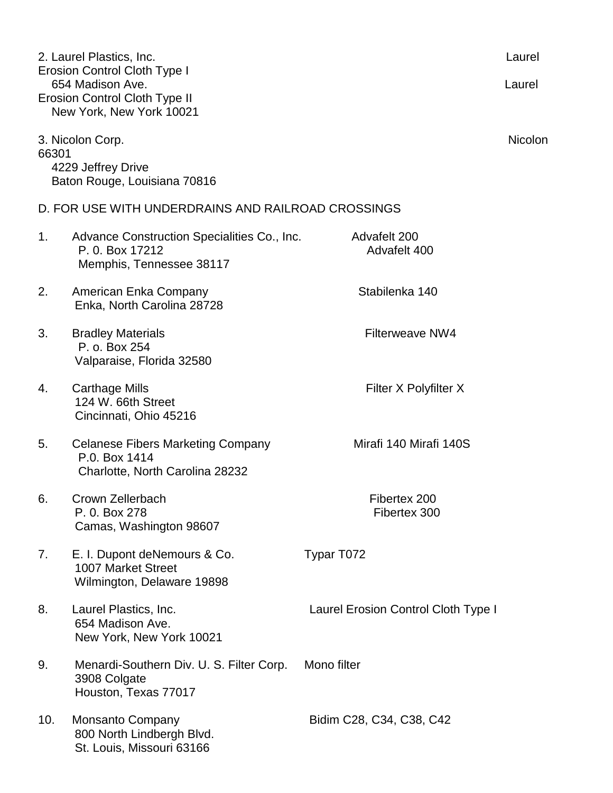| 2. Laurel Plastics, Inc.<br>Erosion Control Cloth Type I<br>654 Madison Ave.    |                                                                                              |                                     |                |  |
|---------------------------------------------------------------------------------|----------------------------------------------------------------------------------------------|-------------------------------------|----------------|--|
|                                                                                 | <b>Erosion Control Cloth Type II</b><br>New York, New York 10021                             |                                     |                |  |
| 3. Nicolon Corp.<br>66301<br>4229 Jeffrey Drive<br>Baton Rouge, Louisiana 70816 |                                                                                              |                                     | <b>Nicolon</b> |  |
| D. FOR USE WITH UNDERDRAINS AND RAILROAD CROSSINGS                              |                                                                                              |                                     |                |  |
| 1.                                                                              | Advance Construction Specialities Co., Inc.<br>P. 0. Box 17212<br>Memphis, Tennessee 38117   | Advafelt 200<br>Advafelt 400        |                |  |
| 2.                                                                              | American Enka Company<br>Enka, North Carolina 28728                                          | Stabilenka 140                      |                |  |
| 3.                                                                              | <b>Bradley Materials</b><br>P. o. Box 254<br>Valparaise, Florida 32580                       | Filterweave NW4                     |                |  |
| 4.                                                                              | <b>Carthage Mills</b><br>124 W. 66th Street<br>Cincinnati, Ohio 45216                        | Filter X Polyfilter X               |                |  |
| 5.                                                                              | <b>Celanese Fibers Marketing Company</b><br>P.0. Box 1414<br>Charlotte, North Carolina 28232 | Mirafi 140 Mirafi 140S              |                |  |
| 6.                                                                              | Crown Zellerbach<br>P. 0. Box 278<br>Camas, Washington 98607                                 | Fibertex 200<br>Fibertex 300        |                |  |
| 7.                                                                              | E. I. Dupont deNemours & Co.<br>1007 Market Street<br>Wilmington, Delaware 19898             | Typar T072                          |                |  |
| 8.                                                                              | Laurel Plastics, Inc.<br>654 Madison Ave.<br>New York, New York 10021                        | Laurel Erosion Control Cloth Type I |                |  |
| 9.                                                                              | Menardi-Southern Div. U. S. Filter Corp.<br>3908 Colgate<br>Houston, Texas 77017             | Mono filter                         |                |  |
| 10.                                                                             | <b>Monsanto Company</b><br>800 North Lindbergh Blvd.<br>St. Louis, Missouri 63166            | Bidim C28, C34, C38, C42            |                |  |